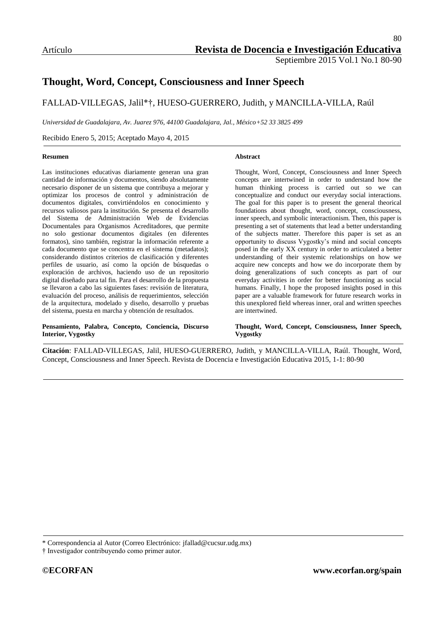# **Thought, Word, Concept, Consciousness and Inner Speech**

#### FALLAD-VILLEGAS, Jalil\*†, HUESO-GUERRERO, Judith, y MANCILLA-VILLA, Raúl

*Universidad de Guadalajara, Av. Juarez 976, 44100 Guadalajara, Jal., México+52 33 3825 499*

Recibido Enero 5, 2015; Aceptado Mayo 4, 2015

#### **Resumen**

Las instituciones educativas diariamente generan una gran cantidad de información y documentos, siendo absolutamente necesario disponer de un sistema que contribuya a mejorar y optimizar los procesos de control y administración de documentos digitales, convirtiéndolos en conocimiento y recursos valiosos para la institución. Se presenta el desarrollo del Sistema de Administración Web de Evidencias Documentales para Organismos Acreditadores, que permite no solo gestionar documentos digitales (en diferentes formatos), sino también, registrar la información referente a cada documento que se concentra en el sistema (metadatos); considerando distintos criterios de clasificación y diferentes perfiles de usuario, así como la opción de búsquedas o exploración de archivos, haciendo uso de un repositorio digital diseñado para tal fin. Para el desarrollo de la propuesta se llevaron a cabo las siguientes fases: revisión de literatura, evaluación del proceso, análisis de requerimientos, selección de la arquitectura, modelado y diseño, desarrollo y pruebas del sistema, puesta en marcha y obtención de resultados.

#### **Pensamiento, Palabra, Concepto, Conciencia, Discurso Interior, Vygostky**

#### **Abstract**

Thought, Word, Concept, Consciousness and Inner Speech concepts are intertwined in order to understand how the human thinking process is carried out so we can conceptualize and conduct our everyday social interactions. The goal for this paper is to present the general theorical foundations about thought, word, concept, consciousness, inner speech, and symbolic interactionism. Then, this paper is presenting a set of statements that lead a better understanding of the subjects matter. Therefore this paper is set as an opportunity to discuss Vygostky"s mind and social concepts posed in the early XX century in order to articulated a better understanding of their systemic relationships on how we acquire new concepts and how we do incorporate them by doing generalizations of such concepts as part of our everyday activities in order for better functioning as social humans. Finally, I hope the proposed insights posed in this paper are a valuable framework for future research works in this unexplored field whereas inner, oral and written speeches are intertwined.

#### **Thought, Word, Concept, Consciousness, Inner Speech, Vygostky**

**Citación**: FALLAD-VILLEGAS, Jalil, HUESO-GUERRERO, Judith, y MANCILLA-VILLA, Raúl. Thought, Word, Concept, Consciousness and Inner Speech. Revista de Docencia e Investigación Educativa 2015, 1-1: 80-90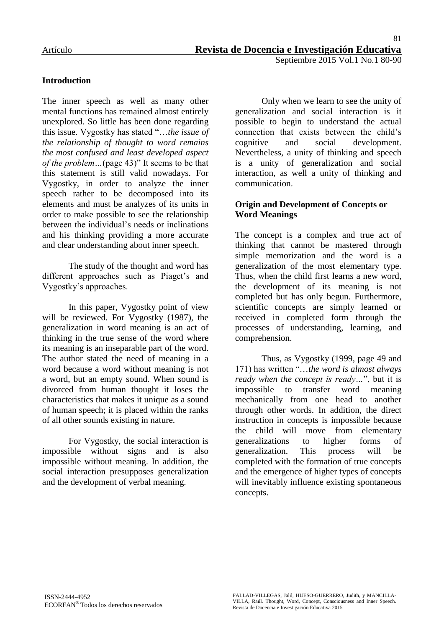### **Introduction**

The inner speech as well as many other mental functions has remained almost entirely unexplored. So little has been done regarding this issue. Vygostky has stated "…*the issue of the relationship of thought to word remains the most confused and least developed aspect of the problem…*(page 43)" It seems to be that this statement is still valid nowadays. For Vygostky, in order to analyze the inner speech rather to be decomposed into its elements and must be analyzes of its units in order to make possible to see the relationship between the individual"s needs or inclinations and his thinking providing a more accurate and clear understanding about inner speech.

The study of the thought and word has different approaches such as Piaget's and Vygostky"s approaches.

In this paper, Vygostky point of view will be reviewed. For Vygostky (1987), the generalization in word meaning is an act of thinking in the true sense of the word where its meaning is an inseparable part of the word. The author stated the need of meaning in a word because a word without meaning is not a word, but an empty sound. When sound is divorced from human thought it loses the characteristics that makes it unique as a sound of human speech; it is placed within the ranks of all other sounds existing in nature.

For Vygostky, the social interaction is impossible without signs and is also impossible without meaning. In addition, the social interaction presupposes generalization and the development of verbal meaning.

Only when we learn to see the unity of generalization and social interaction is it possible to begin to understand the actual connection that exists between the child"s cognitive and social development. Nevertheless, a unity of thinking and speech is a unity of generalization and social interaction, as well a unity of thinking and communication.

### **Origin and Development of Concepts or Word Meanings**

The concept is a complex and true act of thinking that cannot be mastered through simple memorization and the word is a generalization of the most elementary type. Thus, when the child first learns a new word, the development of its meaning is not completed but has only begun. Furthermore, scientific concepts are simply learned or received in completed form through the processes of understanding, learning, and comprehension.

Thus, as Vygostky (1999, page 49 and 171) has written "…*the word is almost always ready when the concept is ready…*", but it is impossible to transfer word meaning mechanically from one head to another through other words. In addition, the direct instruction in concepts is impossible because the child will move from elementary generalizations to higher forms of generalization. This process will be completed with the formation of true concepts and the emergence of higher types of concepts will inevitably influence existing spontaneous concepts.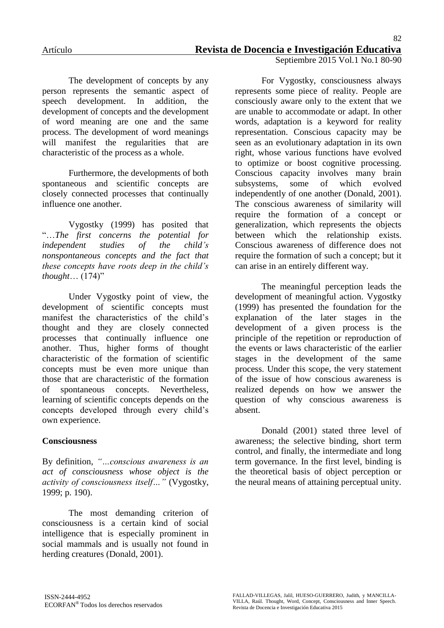The development of concepts by any person represents the semantic aspect of speech development. In addition, the development of concepts and the development of word meaning are one and the same process. The development of word meanings will manifest the regularities that are characteristic of the process as a whole.

Furthermore, the developments of both spontaneous and scientific concepts are closely connected processes that continually influence one another.

Vygostky (1999) has posited that "…*The first concerns the potential for independent studies of the child's nonspontaneous concepts and the fact that these concepts have roots deep in the child's thought*… (174)"

Under Vygostky point of view, the development of scientific concepts must manifest the characteristics of the child's thought and they are closely connected processes that continually influence one another. Thus, higher forms of thought characteristic of the formation of scientific concepts must be even more unique than those that are characteristic of the formation of spontaneous concepts. Nevertheless, learning of scientific concepts depends on the concepts developed through every child"s own experience.

### **Consciousness**

By definition, *"…conscious awareness is an act of consciousness whose object is the activity of consciousness itself…"* (Vygostky, 1999; p. 190).

The most demanding criterion of consciousness is a certain kind of social intelligence that is especially prominent in social mammals and is usually not found in herding creatures (Donald, 2001).

For Vygostky, consciousness always represents some piece of reality. People are consciously aware only to the extent that we are unable to accommodate or adapt. In other words, adaptation is a keyword for reality representation. Conscious capacity may be seen as an evolutionary adaptation in its own right, whose various functions have evolved to optimize or boost cognitive processing. Conscious capacity involves many brain subsystems, some of which evolved independently of one another (Donald, 2001). The conscious awareness of similarity will require the formation of a concept or generalization, which represents the objects between which the relationship exists. Conscious awareness of difference does not require the formation of such a concept; but it can arise in an entirely different way.

The meaningful perception leads the development of meaningful action. Vygostky (1999) has presented the foundation for the explanation of the later stages in the development of a given process is the principle of the repetition or reproduction of the events or laws characteristic of the earlier stages in the development of the same process. Under this scope, the very statement of the issue of how conscious awareness is realized depends on how we answer the question of why conscious awareness is absent.

Donald (2001) stated three level of awareness; the selective binding, short term control, and finally, the intermediate and long term governance. In the first level, binding is the theoretical basis of object perception or the neural means of attaining perceptual unity.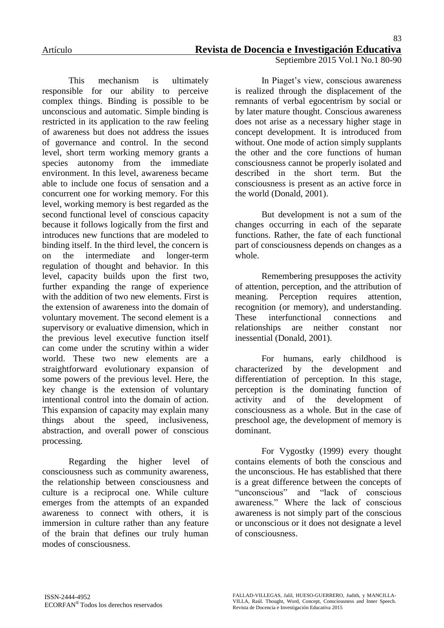This mechanism is ultimately responsible for our ability to perceive complex things. Binding is possible to be unconscious and automatic. Simple binding is restricted in its application to the raw feeling of awareness but does not address the issues of governance and control. In the second level, short term working memory grants a species autonomy from the immediate environment. In this level, awareness became able to include one focus of sensation and a concurrent one for working memory. For this level, working memory is best regarded as the second functional level of conscious capacity because it follows logically from the first and introduces new functions that are modeled to binding itself. In the third level, the concern is on the intermediate and longer-term regulation of thought and behavior. In this level, capacity builds upon the first two, further expanding the range of experience with the addition of two new elements. First is the extension of awareness into the domain of voluntary movement. The second element is a supervisory or evaluative dimension, which in the previous level executive function itself can come under the scrutiny within a wider world. These two new elements are a straightforward evolutionary expansion of some powers of the previous level. Here, the key change is the extension of voluntary intentional control into the domain of action. This expansion of capacity may explain many things about the speed, inclusiveness, abstraction, and overall power of conscious processing.

Regarding the higher level of consciousness such as community awareness, the relationship between consciousness and culture is a reciprocal one. While culture emerges from the attempts of an expanded awareness to connect with others, it is immersion in culture rather than any feature of the brain that defines our truly human modes of consciousness.

In Piaget's view, conscious awareness is realized through the displacement of the remnants of verbal egocentrism by social or by later mature thought. Conscious awareness does not arise as a necessary higher stage in concept development. It is introduced from without. One mode of action simply supplants the other and the core functions of human consciousness cannot be properly isolated and described in the short term. But the consciousness is present as an active force in the world (Donald, 2001).

But development is not a sum of the changes occurring in each of the separate functions. Rather, the fate of each functional part of consciousness depends on changes as a whole.

Remembering presupposes the activity of attention, perception, and the attribution of meaning. Perception requires attention, recognition (or memory), and understanding. These interfunctional connections and relationships are neither constant nor inessential (Donald, 2001).

For humans, early childhood is characterized by the development and differentiation of perception. In this stage, perception is the dominating function of activity and of the development of consciousness as a whole. But in the case of preschool age, the development of memory is dominant.

For Vygostky (1999) every thought contains elements of both the conscious and the unconscious. He has established that there is a great difference between the concepts of "unconscious" and "lack of conscious awareness." Where the lack of conscious awareness is not simply part of the conscious or unconscious or it does not designate a level of consciousness.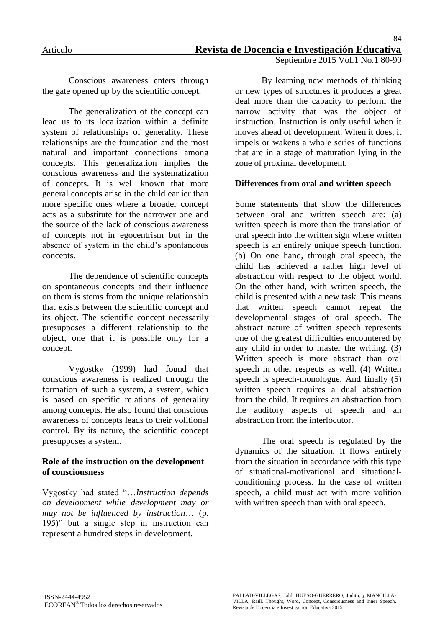Conscious awareness enters through the gate opened up by the scientific concept.

The generalization of the concept can lead us to its localization within a definite system of relationships of generality. These relationships are the foundation and the most natural and important connections among concepts. This generalization implies the conscious awareness and the systematization of concepts. It is well known that more general concepts arise in the child earlier than more specific ones where a broader concept acts as a substitute for the narrower one and the source of the lack of conscious awareness of concepts not in egocentrism but in the absence of system in the child"s spontaneous concepts.

The dependence of scientific concepts on spontaneous concepts and their influence on them is stems from the unique relationship that exists between the scientific concept and its object. The scientific concept necessarily presupposes a different relationship to the object, one that it is possible only for a concept.

Vygostky (1999) had found that conscious awareness is realized through the formation of such a system, a system, which is based on specific relations of generality among concepts. He also found that conscious awareness of concepts leads to their volitional control. By its nature, the scientific concept presupposes a system.

### **Role of the instruction on the development of consciousness**

Vygostky had stated "…*Instruction depends on development while development may or may not be influenced by instruction*… (p. 195)" but a single step in instruction can represent a hundred steps in development.

By learning new methods of thinking or new types of structures it produces a great deal more than the capacity to perform the narrow activity that was the object of instruction. Instruction is only useful when it moves ahead of development. When it does, it impels or wakens a whole series of functions that are in a stage of maturation lying in the zone of proximal development.

### **Differences from oral and written speech**

Some statements that show the differences between oral and written speech are: (a) written speech is more than the translation of oral speech into the written sign where written speech is an entirely unique speech function. (b) On one hand, through oral speech, the child has achieved a rather high level of abstraction with respect to the object world. On the other hand, with written speech, the child is presented with a new task. This means that written speech cannot repeat the developmental stages of oral speech. The abstract nature of written speech represents one of the greatest difficulties encountered by any child in order to master the writing. (3) Written speech is more abstract than oral speech in other respects as well. (4) Written speech is speech-monologue. And finally (5) written speech requires a dual abstraction from the child. It requires an abstraction from the auditory aspects of speech and an abstraction from the interlocutor.

The oral speech is regulated by the dynamics of the situation. It flows entirely from the situation in accordance with this type of situational-motivational and situationalconditioning process. In the case of written speech, a child must act with more volition with written speech than with oral speech.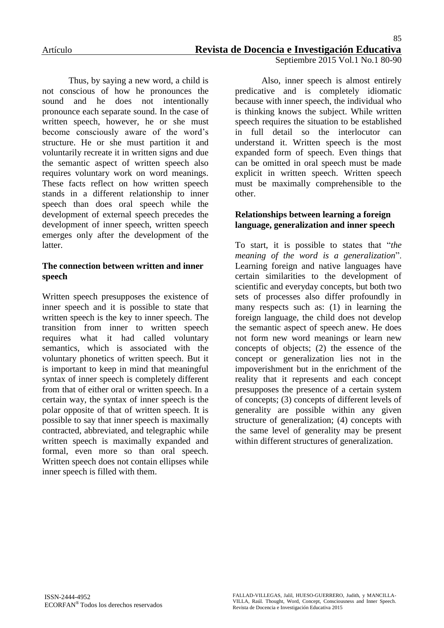Thus, by saying a new word, a child is not conscious of how he pronounces the sound and he does not intentionally pronounce each separate sound. In the case of written speech, however, he or she must become consciously aware of the word"s structure. He or she must partition it and voluntarily recreate it in written signs and due the semantic aspect of written speech also requires voluntary work on word meanings. These facts reflect on how written speech stands in a different relationship to inner speech than does oral speech while the development of external speech precedes the development of inner speech, written speech emerges only after the development of the latter.

#### **The connection between written and inner speech**

Written speech presupposes the existence of inner speech and it is possible to state that written speech is the key to inner speech. The transition from inner to written speech requires what it had called voluntary semantics, which is associated with the voluntary phonetics of written speech. But it is important to keep in mind that meaningful syntax of inner speech is completely different from that of either oral or written speech. In a certain way, the syntax of inner speech is the polar opposite of that of written speech. It is possible to say that inner speech is maximally contracted, abbreviated, and telegraphic while written speech is maximally expanded and formal, even more so than oral speech. Written speech does not contain ellipses while inner speech is filled with them.

Also, inner speech is almost entirely predicative and is completely idiomatic because with inner speech, the individual who is thinking knows the subject. While written speech requires the situation to be established in full detail so the interlocutor can understand it. Written speech is the most expanded form of speech. Even things that can be omitted in oral speech must be made explicit in written speech. Written speech must be maximally comprehensible to the other.

### **Relationships between learning a foreign language, generalization and inner speech**

To start, it is possible to states that "*the meaning of the word is a generalization*". Learning foreign and native languages have certain similarities to the development of scientific and everyday concepts, but both two sets of processes also differ profoundly in many respects such as: (1) in learning the foreign language, the child does not develop the semantic aspect of speech anew. He does not form new word meanings or learn new concepts of objects; (2) the essence of the concept or generalization lies not in the impoverishment but in the enrichment of the reality that it represents and each concept presupposes the presence of a certain system of concepts; (3) concepts of different levels of generality are possible within any given structure of generalization; (4) concepts with the same level of generality may be present within different structures of generalization.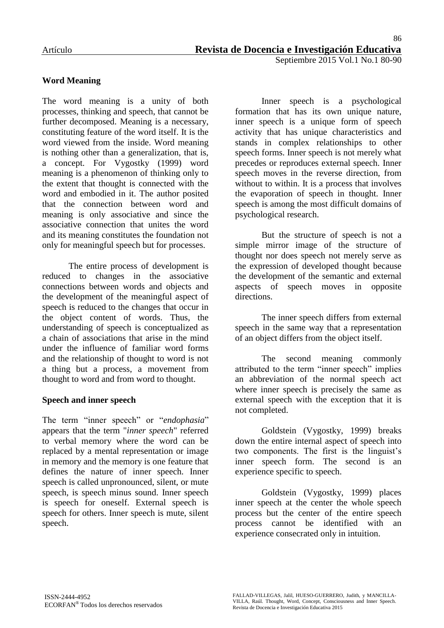# **Word Meaning**

The word meaning is a unity of both processes, thinking and speech, that cannot be further decomposed. Meaning is a necessary, constituting feature of the word itself. It is the word viewed from the inside. Word meaning is nothing other than a generalization, that is, a concept. For Vygostky (1999) word meaning is a phenomenon of thinking only to the extent that thought is connected with the word and embodied in it. The author posited that the connection between word and meaning is only associative and since the associative connection that unites the word and its meaning constitutes the foundation not only for meaningful speech but for processes.

The entire process of development is reduced to changes in the associative connections between words and objects and the development of the meaningful aspect of speech is reduced to the changes that occur in the object content of words. Thus, the understanding of speech is conceptualized as a chain of associations that arise in the mind under the influence of familiar word forms and the relationship of thought to word is not a thing but a process, a movement from thought to word and from word to thought.

### **Speech and inner speech**

The term "inner speech" or "*endophasia*" appears that the term "*inner speech*" referred to verbal memory where the word can be replaced by a mental representation or image in memory and the memory is one feature that defines the nature of inner speech. Inner speech is called unpronounced, silent, or mute speech, is speech minus sound. Inner speech is speech for oneself. External speech is speech for others. Inner speech is mute, silent speech.

Inner speech is a psychological formation that has its own unique nature, inner speech is a unique form of speech activity that has unique characteristics and stands in complex relationships to other speech forms. Inner speech is not merely what precedes or reproduces external speech. Inner speech moves in the reverse direction, from without to within. It is a process that involves the evaporation of speech in thought. Inner speech is among the most difficult domains of psychological research.

But the structure of speech is not a simple mirror image of the structure of thought nor does speech not merely serve as the expression of developed thought because the development of the semantic and external aspects of speech moves in opposite directions.

The inner speech differs from external speech in the same way that a representation of an object differs from the object itself.

The second meaning commonly attributed to the term "inner speech" implies an abbreviation of the normal speech act where inner speech is precisely the same as external speech with the exception that it is not completed.

Goldstein (Vygostky, 1999) breaks down the entire internal aspect of speech into two components. The first is the linguist's inner speech form. The second is an experience specific to speech.

Goldstein (Vygostky, 1999) places inner speech at the center the whole speech process but the center of the entire speech process cannot be identified with an experience consecrated only in intuition.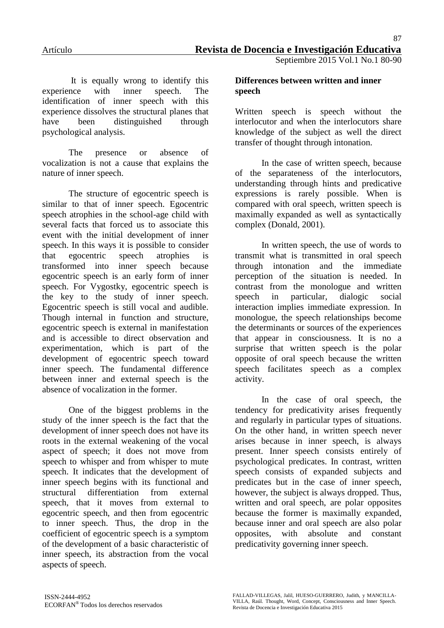It is equally wrong to identify this experience with inner speech. The identification of inner speech with this experience dissolves the structural planes that have been distinguished through psychological analysis.

The presence or absence of vocalization is not a cause that explains the nature of inner speech.

The structure of egocentric speech is similar to that of inner speech. Egocentric speech atrophies in the school-age child with several facts that forced us to associate this event with the initial development of inner speech. In this ways it is possible to consider that egocentric speech atrophies is transformed into inner speech because egocentric speech is an early form of inner speech. For Vygostky, egocentric speech is the key to the study of inner speech. Egocentric speech is still vocal and audible. Though internal in function and structure, egocentric speech is external in manifestation and is accessible to direct observation and experimentation, which is part of the development of egocentric speech toward inner speech. The fundamental difference between inner and external speech is the absence of vocalization in the former.

One of the biggest problems in the study of the inner speech is the fact that the development of inner speech does not have its roots in the external weakening of the vocal aspect of speech; it does not move from speech to whisper and from whisper to mute speech. It indicates that the development of inner speech begins with its functional and structural differentiation from external speech, that it moves from external to egocentric speech, and then from egocentric to inner speech. Thus, the drop in the coefficient of egocentric speech is a symptom of the development of a basic characteristic of inner speech, its abstraction from the vocal aspects of speech.

#### **Differences between written and inner speech**

Written speech is speech without the interlocutor and when the interlocutors share knowledge of the subject as well the direct transfer of thought through intonation.

In the case of written speech, because of the separateness of the interlocutors, understanding through hints and predicative expressions is rarely possible. When is compared with oral speech, written speech is maximally expanded as well as syntactically complex (Donald, 2001).

In written speech, the use of words to transmit what is transmitted in oral speech through intonation and the immediate perception of the situation is needed. In contrast from the monologue and written speech in particular, dialogic social interaction implies immediate expression. In monologue, the speech relationships become the determinants or sources of the experiences that appear in consciousness. It is no a surprise that written speech is the polar opposite of oral speech because the written speech facilitates speech as a complex activity.

In the case of oral speech, the tendency for predicativity arises frequently and regularly in particular types of situations. On the other hand, in written speech never arises because in inner speech, is always present. Inner speech consists entirely of psychological predicates. In contrast, written speech consists of expanded subjects and predicates but in the case of inner speech, however, the subject is always dropped. Thus, written and oral speech, are polar opposites because the former is maximally expanded, because inner and oral speech are also polar opposites, with absolute and constant predicativity governing inner speech.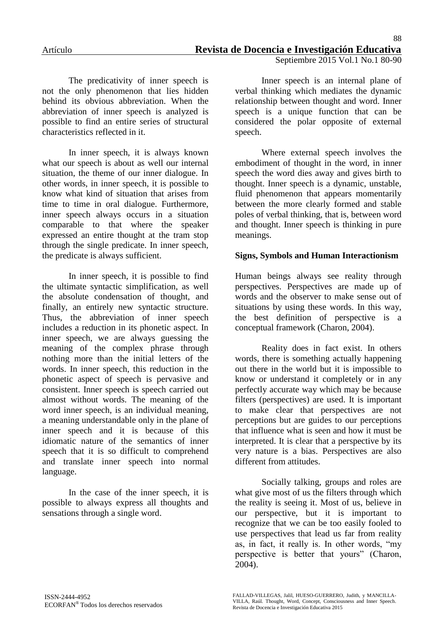The predicativity of inner speech is not the only phenomenon that lies hidden behind its obvious abbreviation. When the abbreviation of inner speech is analyzed is possible to find an entire series of structural characteristics reflected in it.

In inner speech, it is always known what our speech is about as well our internal situation, the theme of our inner dialogue. In other words, in inner speech, it is possible to know what kind of situation that arises from time to time in oral dialogue. Furthermore, inner speech always occurs in a situation comparable to that where the speaker expressed an entire thought at the tram stop through the single predicate. In inner speech, the predicate is always sufficient.

In inner speech, it is possible to find the ultimate syntactic simplification, as well the absolute condensation of thought, and finally, an entirely new syntactic structure. Thus, the abbreviation of inner speech includes a reduction in its phonetic aspect. In inner speech, we are always guessing the meaning of the complex phrase through nothing more than the initial letters of the words. In inner speech, this reduction in the phonetic aspect of speech is pervasive and consistent. Inner speech is speech carried out almost without words. The meaning of the word inner speech, is an individual meaning, a meaning understandable only in the plane of inner speech and it is because of this idiomatic nature of the semantics of inner speech that it is so difficult to comprehend and translate inner speech into normal language.

In the case of the inner speech, it is possible to always express all thoughts and sensations through a single word.

Inner speech is an internal plane of verbal thinking which mediates the dynamic relationship between thought and word. Inner speech is a unique function that can be considered the polar opposite of external speech.

Where external speech involves the embodiment of thought in the word, in inner speech the word dies away and gives birth to thought. Inner speech is a dynamic, unstable, fluid phenomenon that appears momentarily between the more clearly formed and stable poles of verbal thinking, that is, between word and thought. Inner speech is thinking in pure meanings.

### **Signs, Symbols and Human Interactionism**

Human beings always see reality through perspectives. Perspectives are made up of words and the observer to make sense out of situations by using these words. In this way, the best definition of perspective is a conceptual framework (Charon, 2004).

Reality does in fact exist. In others words, there is something actually happening out there in the world but it is impossible to know or understand it completely or in any perfectly accurate way which may be because filters (perspectives) are used. It is important to make clear that perspectives are not perceptions but are guides to our perceptions that influence what is seen and how it must be interpreted. It is clear that a perspective by its very nature is a bias. Perspectives are also different from attitudes.

Socially talking, groups and roles are what give most of us the filters through which the reality is seeing it. Most of us, believe in our perspective, but it is important to recognize that we can be too easily fooled to use perspectives that lead us far from reality as, in fact, it really is. In other words, "my perspective is better that yours" (Charon, 2004).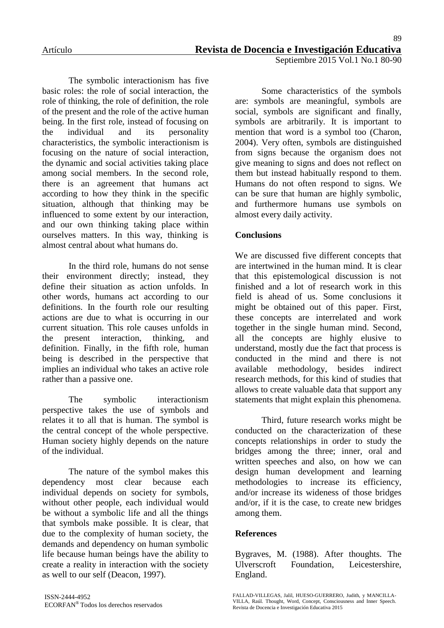The symbolic interactionism has five basic roles: the role of social interaction, the role of thinking, the role of definition, the role of the present and the role of the active human being. In the first role, instead of focusing on the individual and its personality characteristics, the symbolic interactionism is focusing on the nature of social interaction, the dynamic and social activities taking place among social members. In the second role, there is an agreement that humans act according to how they think in the specific situation, although that thinking may be influenced to some extent by our interaction, and our own thinking taking place within ourselves matters. In this way, thinking is almost central about what humans do.

In the third role, humans do not sense their environment directly; instead, they define their situation as action unfolds. In other words, humans act according to our definitions. In the fourth role our resulting actions are due to what is occurring in our current situation. This role causes unfolds in the present interaction, thinking, and definition. Finally, in the fifth role, human being is described in the perspective that implies an individual who takes an active role rather than a passive one.

The symbolic interactionism perspective takes the use of symbols and relates it to all that is human. The symbol is the central concept of the whole perspective. Human society highly depends on the nature of the individual.

The nature of the symbol makes this dependency most clear because each individual depends on society for symbols, without other people, each individual would be without a symbolic life and all the things that symbols make possible. It is clear, that due to the complexity of human society, the demands and dependency on human symbolic life because human beings have the ability to create a reality in interaction with the society as well to our self (Deacon, 1997).

Some characteristics of the symbols are: symbols are meaningful, symbols are social, symbols are significant and finally, symbols are arbitrarily. It is important to mention that word is a symbol too (Charon, 2004). Very often, symbols are distinguished from signs because the organism does not give meaning to signs and does not reflect on them but instead habitually respond to them. Humans do not often respond to signs. We can be sure that human are highly symbolic, and furthermore humans use symbols on almost every daily activity.

# **Conclusions**

We are discussed five different concepts that are intertwined in the human mind. It is clear that this epistemological discussion is not finished and a lot of research work in this field is ahead of us. Some conclusions it might be obtained out of this paper. First, these concepts are interrelated and work together in the single human mind. Second, all the concepts are highly elusive to understand, mostly due the fact that process is conducted in the mind and there is not available methodology, besides indirect research methods, for this kind of studies that allows to create valuable data that support any statements that might explain this phenomena.

Third, future research works might be conducted on the characterization of these concepts relationships in order to study the bridges among the three; inner, oral and written speeches and also, on how we can design human development and learning methodologies to increase its efficiency, and/or increase its wideness of those bridges and/or, if it is the case, to create new bridges among them.

### **References**

Bygraves, M. (1988). After thoughts. The Ulverscroft Foundation, Leicestershire, England.